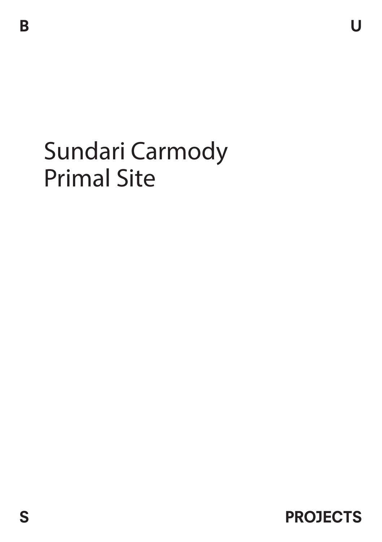## Sundari Carmody Primal Site

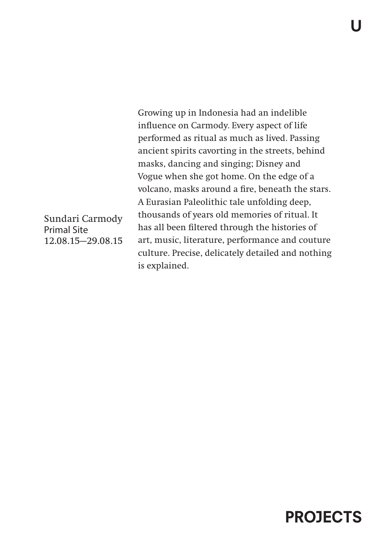Growing up in Indonesia had an indelible influence on Carmody. Every aspect of life performed as ritual as much as lived. Passing ancient spirits cavorting in the streets, behind masks, dancing and singing; Disney and Vogue when she got home. On the edge of a volcano, masks around a fire, beneath the stars. A Eurasian Paleolithic tale unfolding deep, thousands of years old memories of ritual. It has all been filtered through the histories of art, music, literature, performance and couture culture. Precise, delicately detailed and nothing is explained.

Sundari Carmody Primal Site 12.08.15—29.08.15

## PROJECTS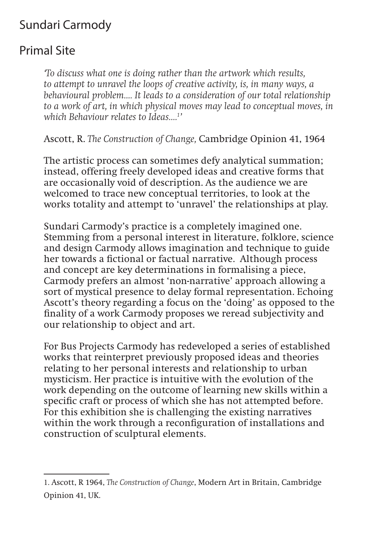## Sundari Carmody

## Primal Site

*'To discuss what one is doing rather than the artwork which results, to attempt to unravel the loops of creative activity, is, in many ways, a behavioural problem…. It leads to a consideration of our total relationship to a work of art, in which physical moves may lead to conceptual moves, in which Behaviour relates to Ideas….1 '* 

Ascott, R. *The Construction of Change,* Cambridge Opinion 41, 1964

The artistic process can sometimes defy analytical summation; instead, offering freely developed ideas and creative forms that are occasionally void of description. As the audience we are welcomed to trace new conceptual territories, to look at the works totality and attempt to 'unravel' the relationships at play.

Sundari Carmody's practice is a completely imagined one. Stemming from a personal interest in literature, folklore, science and design Carmody allows imagination and technique to guide her towards a fictional or factual narrative. Although process and concept are key determinations in formalising a piece, Carmody prefers an almost 'non-narrative' approach allowing a sort of mystical presence to delay formal representation. Echoing Ascott's theory regarding a focus on the 'doing' as opposed to the finality of a work Carmody proposes we reread subjectivity and our relationship to object and art.

For Bus Projects Carmody has redeveloped a series of established works that reinterpret previously proposed ideas and theories relating to her personal interests and relationship to urban mysticism. Her practice is intuitive with the evolution of the work depending on the outcome of learning new skills within a specific craft or process of which she has not attempted before. For this exhibition she is challenging the existing narratives within the work through a reconfiguration of installations and construction of sculptural elements.

<sup>1.</sup> Ascott, R 1964, *The Construction of Change*, Modern Art in Britain, Cambridge Opinion 41, UK.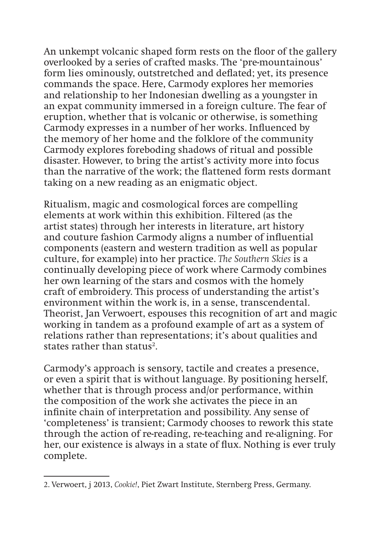An unkempt volcanic shaped form rests on the floor of the gallery overlooked by a series of crafted masks. The 'pre-mountainous' form lies ominously, outstretched and deflated; yet, its presence commands the space. Here, Carmody explores her memories and relationship to her Indonesian dwelling as a youngster in an expat community immersed in a foreign culture. The fear of eruption, whether that is volcanic or otherwise, is something Carmody expresses in a number of her works. Influenced by the memory of her home and the folklore of the community Carmody explores foreboding shadows of ritual and possible disaster. However, to bring the artist's activity more into focus than the narrative of the work; the flattened form rests dormant taking on a new reading as an enigmatic object.

Ritualism, magic and cosmological forces are compelling elements at work within this exhibition. Filtered (as the artist states) through her interests in literature, art history and couture fashion Carmody aligns a number of influential components (eastern and western tradition as well as popular culture, for example) into her practice. *The Southern Skies* is a continually developing piece of work where Carmody combines her own learning of the stars and cosmos with the homely craft of embroidery. This process of understanding the artist's environment within the work is, in a sense, transcendental. Theorist, Jan Verwoert, espouses this recognition of art and magic working in tandem as a profound example of art as a system of relations rather than representations; it's about qualities and states rather than status<sup>2</sup>.

Carmody's approach is sensory, tactile and creates a presence, or even a spirit that is without language. By positioning herself, whether that is through process and/or performance, within the composition of the work she activates the piece in an infinite chain of interpretation and possibility. Any sense of 'completeness' is transient; Carmody chooses to rework this state through the action of re-reading, re-teaching and re-aligning. For her, our existence is always in a state of flux. Nothing is ever truly complete.

<sup>2</sup>. Verwoert, j 2013, *Cookie!*, Piet Zwart Institute, Sternberg Press, Germany.